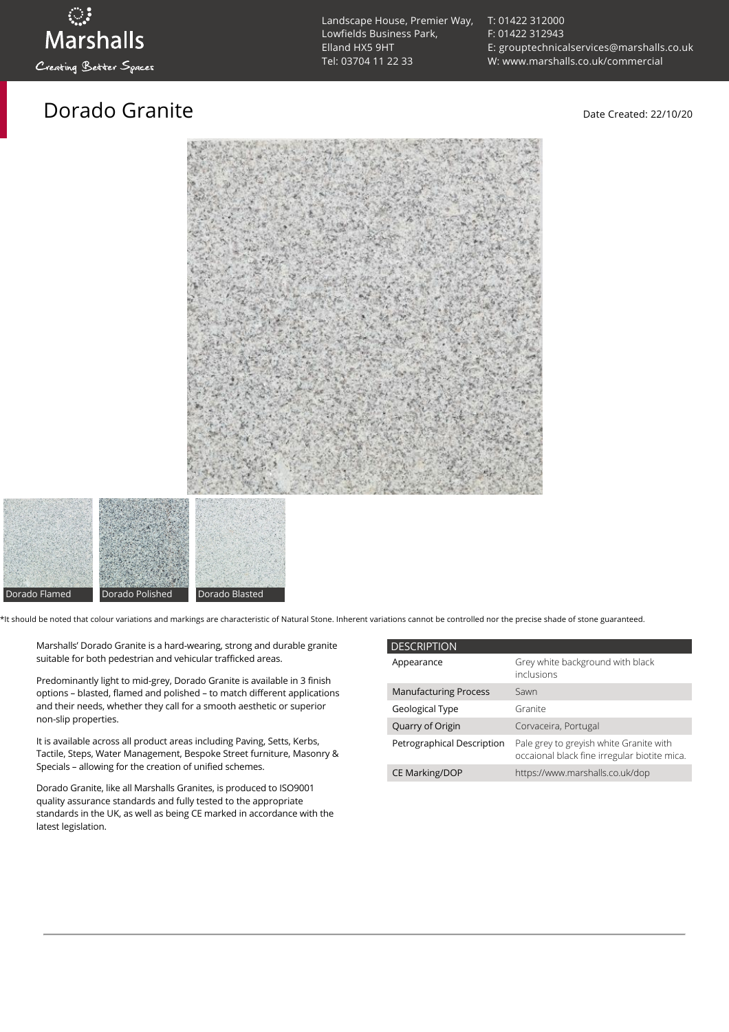## Dorado Granite and the Date Created: 22/10/20

[T: 01422 312000](tel:01422%20312000) [F: 01422 312943](tel:01422%20312943) [E: grouptechnicalservices@marshalls.co.uk](mailto:grouptechnicalservices@marshalls.co.uk) [W: www.marshalls.co.uk/commercial](https://www.marshalls.co.uk/commercial)





\*It should be noted that colour variations and markings are characteristic of Natural Stone. Inherent variations cannot be controlled nor the precise shade of stone guaranteed.

Marshalls' Dorado Granite is a hard-wearing, strong and durable granite suitable for both pedestrian and vehicular trafficked areas.

Predominantly light to mid-grey, Dorado Granite is available in 3 finish options – blasted, flamed and polished – to match different applications and their needs, whether they call for a smooth aesthetic or superior non-slip properties.

It is available across all product areas including Paving, Setts, Kerbs, Tactile, Steps, Water Management, Bespoke Street furniture, Masonry & Specials – allowing for the creation of unified schemes.

Dorado Granite, like all Marshalls Granites, is produced to ISO9001 quality assurance standards and fully tested to the appropriate standards in the UK, as well as being CE marked in accordance with the latest legislation.

| <b>DESCRIPTION</b>           |                                                                                         |
|------------------------------|-----------------------------------------------------------------------------------------|
| Appearance                   | Grey white background with black<br>inclusions                                          |
| <b>Manufacturing Process</b> | Sawn                                                                                    |
| Geological Type              | Granite                                                                                 |
| Quarry of Origin             | Corvaceira, Portugal                                                                    |
| Petrographical Description   | Pale grey to greyish white Granite with<br>occaional black fine irregular biotite mica. |
| <b>CE Marking/DOP</b>        | https://www.marshalls.co.uk/dop                                                         |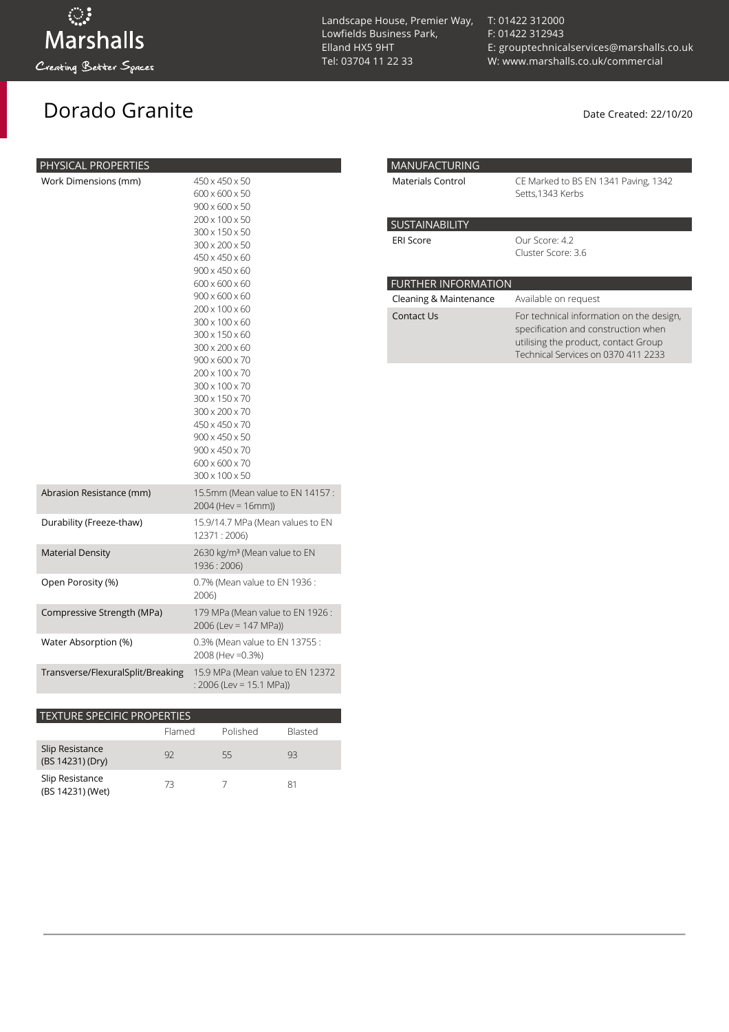## Dorado Granite **Date Created: 22/10/20**

| Lowfields Business Park,<br>Elland HX5 9HT<br>Tel: 03704 11 22 33 |
|-------------------------------------------------------------------|
|                                                                   |

Landscape House, Premier Way,

[T: 01422 312000](tel:01422%20312000) [F: 01422 312943](tel:01422%20312943) [E: grouptechnicalservices@marshalls.co.uk](mailto:grouptechnicalservices@marshalls.co.uk) [W: www.marshalls.co.uk/commercial](https://www.marshalls.co.uk/commercial)

| <b>MANUFACTURING</b>       |                                                                                                                                                                |  |  |  |
|----------------------------|----------------------------------------------------------------------------------------------------------------------------------------------------------------|--|--|--|
| Materials Control          | CE Marked to BS EN 1341 Paving, 1342<br>Setts, 1343 Kerbs                                                                                                      |  |  |  |
| <b>SUSTAINABILITY</b>      |                                                                                                                                                                |  |  |  |
| <b>ERI Score</b>           | Our Score: 4.2<br>Cluster Score: 3.6                                                                                                                           |  |  |  |
| <b>FURTHER INFORMATION</b> |                                                                                                                                                                |  |  |  |
| Cleaning & Maintenance     | Available on request                                                                                                                                           |  |  |  |
| Contact Us                 | For technical information on the design,<br>specification and construction when<br>utilising the product, contact Group<br>Technical Services on 0370 411 2233 |  |  |  |

| PHYSICAL PROPERTIES               |                                                                                                                                                                                                                                                                                                                                                                                                                                                                                                                      |
|-----------------------------------|----------------------------------------------------------------------------------------------------------------------------------------------------------------------------------------------------------------------------------------------------------------------------------------------------------------------------------------------------------------------------------------------------------------------------------------------------------------------------------------------------------------------|
| Work Dimensions (mm)              | 450 x 450 x 50<br>600 x 600 x 50<br>$900 \times 600 \times 50$<br>200 x 100 x 50<br>300 x 150 x 50<br>300 x 200 x 50<br>450 x 450 x 60<br>$900 \times 450 \times 60$<br>$600 \times 600 \times 60$<br>$900 \times 600 \times 60$<br>$200 \times 100 \times 60$<br>300 x 100 x 60<br>300 x 150 x 60<br>300 x 200 x 60<br>$900 \times 600 \times 70$<br>200 x 100 x 70<br>300 x 100 x 70<br>300 x 150 x 70<br>300 x 200 x 70<br>450 x 450 x 70<br>900 x 450 x 50<br>900 x 450 x 70<br>600 x 600 x 70<br>300 x 100 x 50 |
| Abrasion Resistance (mm)          | 15.5mm (Mean value to EN 14157:<br>$2004$ (Hev = 16mm))                                                                                                                                                                                                                                                                                                                                                                                                                                                              |
| Durability (Freeze-thaw)          | 15.9/14.7 MPa (Mean values to EN<br>12371:2006)                                                                                                                                                                                                                                                                                                                                                                                                                                                                      |
| <b>Material Density</b>           | 2630 kg/m <sup>3</sup> (Mean value to EN<br>1936: 2006)                                                                                                                                                                                                                                                                                                                                                                                                                                                              |
| Open Porosity (%)                 | 0.7% (Mean value to EN 1936 :<br>2006)                                                                                                                                                                                                                                                                                                                                                                                                                                                                               |
| Compressive Strength (MPa)        | 179 MPa (Mean value to EN 1926:<br>$2006$ (Lev = 147 MPa))                                                                                                                                                                                                                                                                                                                                                                                                                                                           |
| Water Absorption (%)              | 0.3% (Mean value to EN 13755:<br>2008 (Hev = 0.3%)                                                                                                                                                                                                                                                                                                                                                                                                                                                                   |
| Transverse/FlexuralSplit/Breaking | 15.9 MPa (Mean value to EN 12372<br>: 2006 (Lev = 15.1 MPa))                                                                                                                                                                                                                                                                                                                                                                                                                                                         |

| <b>TEXTURE SPECIFIC PROPERTIES</b>  |        |          |                |  |  |  |
|-------------------------------------|--------|----------|----------------|--|--|--|
|                                     | Flamed | Polished | <b>Blasted</b> |  |  |  |
| Slip Resistance<br>(BS 14231) (Dry) | 92     | 55       | 93             |  |  |  |
| Slip Resistance<br>(BS 14231) (Wet) | 73     |          | 81             |  |  |  |